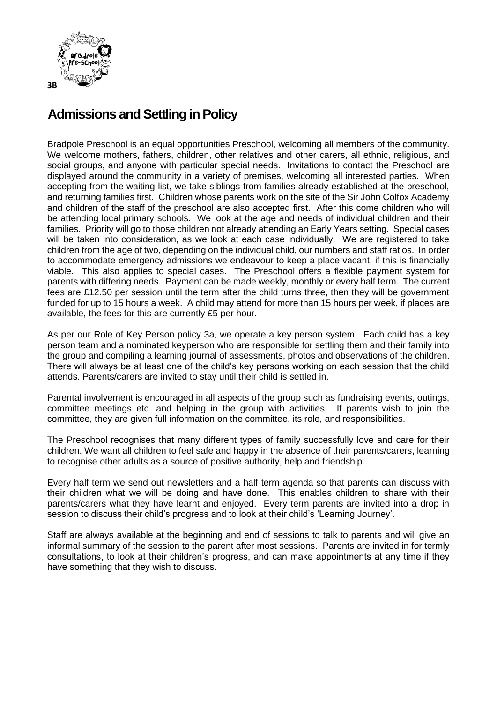

## **Admissions and Settling in Policy**

Bradpole Preschool is an equal opportunities Preschool, welcoming all members of the community. We welcome mothers, fathers, children, other relatives and other carers, all ethnic, religious, and social groups, and anyone with particular special needs. Invitations to contact the Preschool are displayed around the community in a variety of premises, welcoming all interested parties. When accepting from the waiting list, we take siblings from families already established at the preschool, and returning families first. Children whose parents work on the site of the Sir John Colfox Academy and children of the staff of the preschool are also accepted first. After this come children who will be attending local primary schools. We look at the age and needs of individual children and their families. Priority will go to those children not already attending an Early Years setting. Special cases will be taken into consideration, as we look at each case individually. We are registered to take children from the age of two, depending on the individual child, our numbers and staff ratios. In order to accommodate emergency admissions we endeavour to keep a place vacant, if this is financially viable. This also applies to special cases. The Preschool offers a flexible payment system for parents with differing needs. Payment can be made weekly, monthly or every half term. The current fees are £12.50 per session until the term after the child turns three, then they will be government funded for up to 15 hours a week. A child may attend for more than 15 hours per week, if places are available, the fees for this are currently £5 per hour.

As per our Role of Key Person policy 3a, we operate a key person system. Each child has a key person team and a nominated keyperson who are responsible for settling them and their family into the group and compiling a learning journal of assessments, photos and observations of the children. There will always be at least one of the child's key persons working on each session that the child attends. Parents/carers are invited to stay until their child is settled in.

Parental involvement is encouraged in all aspects of the group such as fundraising events, outings, committee meetings etc. and helping in the group with activities. If parents wish to join the committee, they are given full information on the committee, its role, and responsibilities.

The Preschool recognises that many different types of family successfully love and care for their children. We want all children to feel safe and happy in the absence of their parents/carers, learning to recognise other adults as a source of positive authority, help and friendship.

Every half term we send out newsletters and a half term agenda so that parents can discuss with their children what we will be doing and have done. This enables children to share with their parents/carers what they have learnt and enjoyed. Every term parents are invited into a drop in session to discuss their child's progress and to look at their child's 'Learning Journey'.

Staff are always available at the beginning and end of sessions to talk to parents and will give an informal summary of the session to the parent after most sessions. Parents are invited in for termly consultations, to look at their children's progress, and can make appointments at any time if they have something that they wish to discuss.